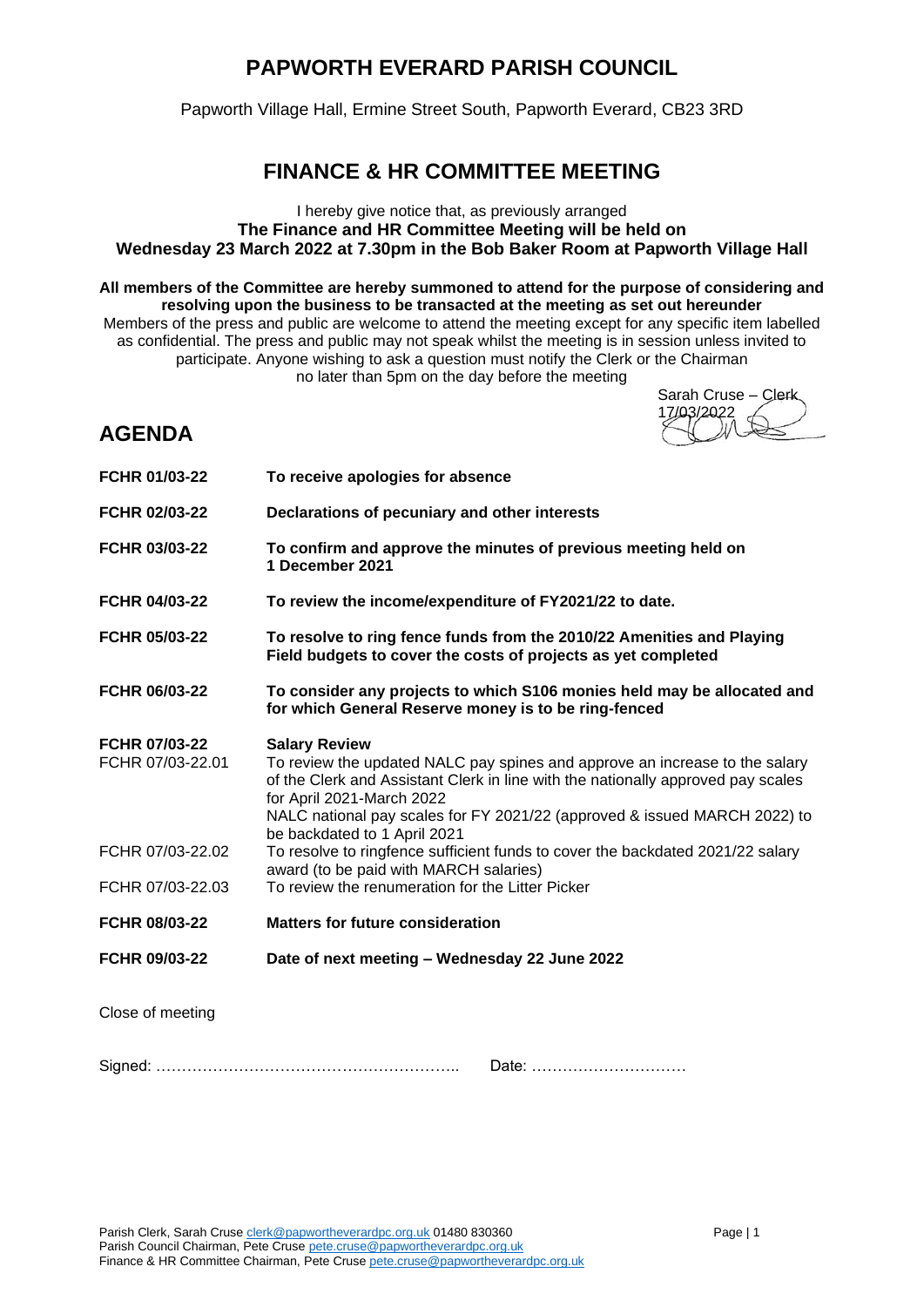## **PAPWORTH EVERARD PARISH COUNCIL**

Papworth Village Hall, Ermine Street South, Papworth Everard, CB23 3RD

## **FINANCE & HR COMMITTEE MEETING**

## I hereby give notice that, as previously arranged **The Finance and HR Committee Meeting will be held on Wednesday 23 March 2022 at 7.30pm in the Bob Baker Room at Papworth Village Hall**

**All members of the Committee are hereby summoned to attend for the purpose of considering and resolving upon the business to be transacted at the meeting as set out hereunder** Members of the press and public are welcome to attend the meeting except for any specific item labelled as confidential. The press and public may not speak whilst the meeting is in session unless invited to participate. Anyone wishing to ask a question must notify the Clerk or the Chairman no later than 5pm on the day before the meeting

Sarah Cruse – Clerk 103/2022

## **AGENDA**

| FCHR 01/03-22                     | To receive apologies for absence                                                                                                                                                                                                                                                                  |
|-----------------------------------|---------------------------------------------------------------------------------------------------------------------------------------------------------------------------------------------------------------------------------------------------------------------------------------------------|
| FCHR 02/03-22                     | Declarations of pecuniary and other interests                                                                                                                                                                                                                                                     |
| FCHR 03/03-22                     | To confirm and approve the minutes of previous meeting held on<br>1 December 2021                                                                                                                                                                                                                 |
| FCHR 04/03-22                     | To review the income/expenditure of FY2021/22 to date.                                                                                                                                                                                                                                            |
| FCHR 05/03-22                     | To resolve to ring fence funds from the 2010/22 Amenities and Playing<br>Field budgets to cover the costs of projects as yet completed                                                                                                                                                            |
| FCHR 06/03-22                     | To consider any projects to which S106 monies held may be allocated and<br>for which General Reserve money is to be ring-fenced                                                                                                                                                                   |
| FCHR 07/03-22<br>FCHR 07/03-22.01 | <b>Salary Review</b><br>To review the updated NALC pay spines and approve an increase to the salary<br>of the Clerk and Assistant Clerk in line with the nationally approved pay scales<br>for April 2021-March 2022<br>NALC national pay scales for FY 2021/22 (approved & issued MARCH 2022) to |
| FCHR 07/03-22.02                  | be backdated to 1 April 2021<br>To resolve to ringfence sufficient funds to cover the backdated 2021/22 salary                                                                                                                                                                                    |
| FCHR 07/03-22.03                  | award (to be paid with MARCH salaries)<br>To review the renumeration for the Litter Picker                                                                                                                                                                                                        |
| FCHR 08/03-22                     | <b>Matters for future consideration</b>                                                                                                                                                                                                                                                           |
| FCHR 09/03-22                     | Date of next meeting - Wednesday 22 June 2022                                                                                                                                                                                                                                                     |
| Close of meeting                  |                                                                                                                                                                                                                                                                                                   |
| Signed: .                         | Date:                                                                                                                                                                                                                                                                                             |